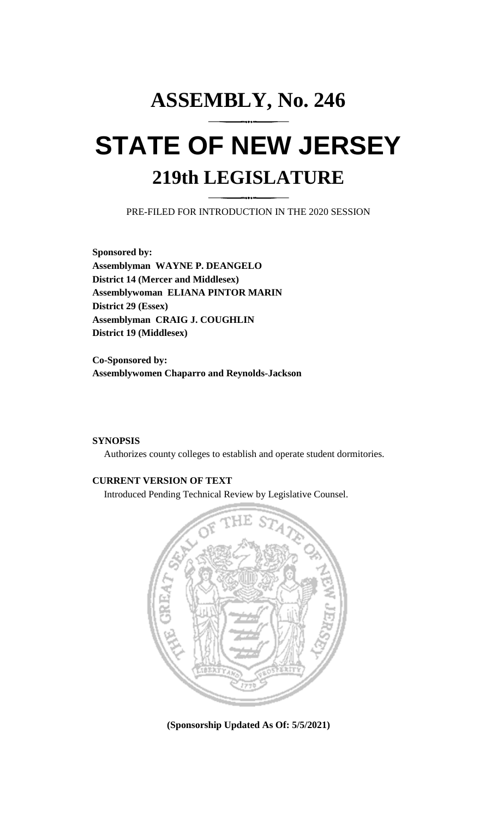# **ASSEMBLY, No. 246 STATE OF NEW JERSEY 219th LEGISLATURE**

PRE-FILED FOR INTRODUCTION IN THE 2020 SESSION

**Sponsored by: Assemblyman WAYNE P. DEANGELO District 14 (Mercer and Middlesex) Assemblywoman ELIANA PINTOR MARIN District 29 (Essex) Assemblyman CRAIG J. COUGHLIN District 19 (Middlesex)**

**Co-Sponsored by: Assemblywomen Chaparro and Reynolds-Jackson**

### **SYNOPSIS**

Authorizes county colleges to establish and operate student dormitories.

# **CURRENT VERSION OF TEXT**

Introduced Pending Technical Review by Legislative Counsel.



**(Sponsorship Updated As Of: 5/5/2021)**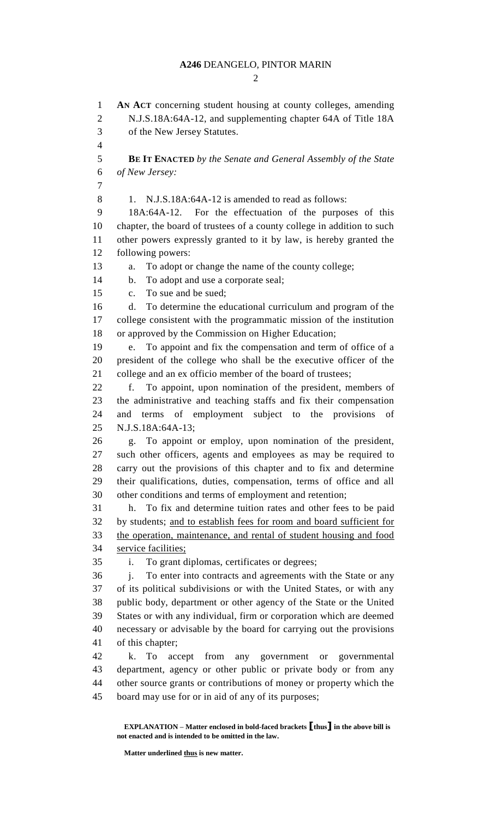#### **A246** DEANGELO, PINTOR MARIN

 $\mathcal{D}$ 

 **AN ACT** concerning student housing at county colleges, amending N.J.S.18A:64A-12, and supplementing chapter 64A of Title 18A of the New Jersey Statutes.  $\overline{\mathbf{A}}$  **BE IT ENACTED** *by the Senate and General Assembly of the State of New Jersey:* 8 1. N.J.S.18A:64A-12 is amended to read as follows: 18A:64A-12. For the effectuation of the purposes of this chapter, the board of trustees of a county college in addition to such other powers expressly granted to it by law, is hereby granted the following powers: a. To adopt or change the name of the county college; b. To adopt and use a corporate seal; c. To sue and be sued; d. To determine the educational curriculum and program of the college consistent with the programmatic mission of the institution or approved by the Commission on Higher Education; e. To appoint and fix the compensation and term of office of a president of the college who shall be the executive officer of the college and an ex officio member of the board of trustees; f. To appoint, upon nomination of the president, members of the administrative and teaching staffs and fix their compensation and terms of employment subject to the provisions of N.J.S.18A:64A-13; g. To appoint or employ, upon nomination of the president, such other officers, agents and employees as may be required to carry out the provisions of this chapter and to fix and determine their qualifications, duties, compensation, terms of office and all other conditions and terms of employment and retention; h. To fix and determine tuition rates and other fees to be paid by students; and to establish fees for room and board sufficient for the operation, maintenance, and rental of student housing and food service facilities; i. To grant diplomas, certificates or degrees; j. To enter into contracts and agreements with the State or any of its political subdivisions or with the United States, or with any public body, department or other agency of the State or the United States or with any individual, firm or corporation which are deemed necessary or advisable by the board for carrying out the provisions of this chapter; k. To accept from any government or governmental department, agency or other public or private body or from any other source grants or contributions of money or property which the board may use for or in aid of any of its purposes;

**EXPLANATION – Matter enclosed in bold-faced brackets [thus] in the above bill is not enacted and is intended to be omitted in the law.**

**Matter underlined thus is new matter.**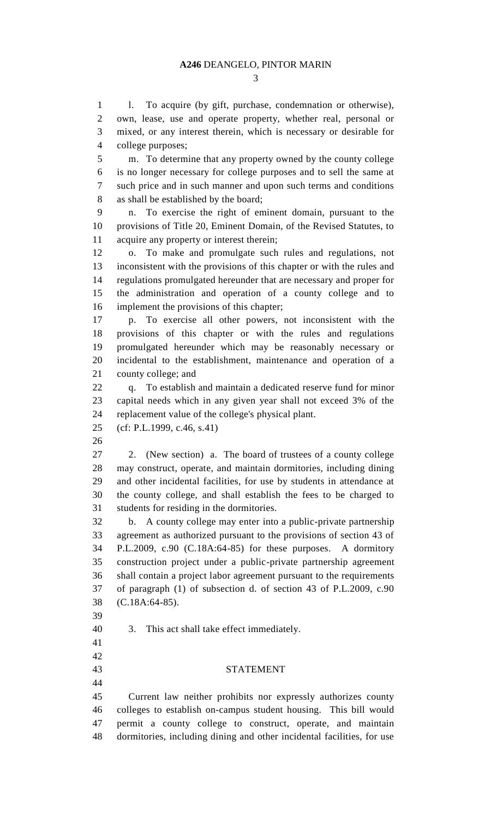1 l. To acquire (by gift, purchase, condemnation or otherwise), own, lease, use and operate property, whether real, personal or mixed, or any interest therein, which is necessary or desirable for college purposes; m. To determine that any property owned by the county college is no longer necessary for college purposes and to sell the same at such price and in such manner and upon such terms and conditions as shall be established by the board; n. To exercise the right of eminent domain, pursuant to the provisions of Title 20, Eminent Domain, of the Revised Statutes, to acquire any property or interest therein; o. To make and promulgate such rules and regulations, not inconsistent with the provisions of this chapter or with the rules and regulations promulgated hereunder that are necessary and proper for the administration and operation of a county college and to implement the provisions of this chapter; p. To exercise all other powers, not inconsistent with the provisions of this chapter or with the rules and regulations promulgated hereunder which may be reasonably necessary or incidental to the establishment, maintenance and operation of a county college; and q. To establish and maintain a dedicated reserve fund for minor capital needs which in any given year shall not exceed 3% of the replacement value of the college's physical plant. (cf: P.L.1999, c.46, s.41) 2. (New section) a. The board of trustees of a county college may construct, operate, and maintain dormitories, including dining and other incidental facilities, for use by students in attendance at the county college, and shall establish the fees to be charged to students for residing in the dormitories. b. A county college may enter into a public-private partnership agreement as authorized pursuant to the provisions of section 43 of P.L.2009, c.90 (C.18A:64-85) for these purposes. A dormitory construction project under a public-private partnership agreement shall contain a project labor agreement pursuant to the requirements of paragraph (1) of subsection d. of section 43 of P.L.2009, c.90 (C.18A:64-85). 3. This act shall take effect immediately. STATEMENT Current law neither prohibits nor expressly authorizes county colleges to establish on-campus student housing. This bill would permit a county college to construct, operate, and maintain dormitories, including dining and other incidental facilities, for use